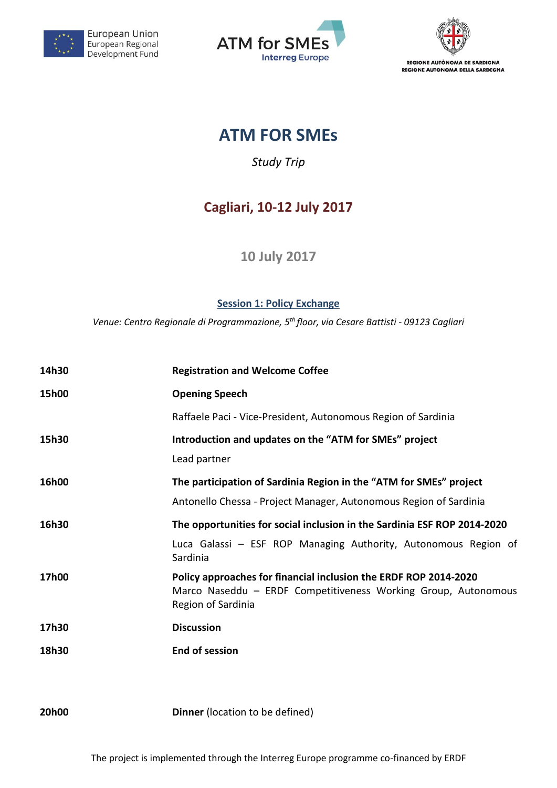

European Union European Regional Development Fund





# **ATM FOR SMEs**

*Study Trip*

## **Cagliari, 10-12 July 2017**

**10 July 2017**

**Session 1: Policy Exchange**

*Venue: Centro Regionale di Programmazione, 5 th floor, via Cesare Battisti - 09123 Cagliari*

| 14h30 | <b>Registration and Welcome Coffee</b>                                                                                                                   |
|-------|----------------------------------------------------------------------------------------------------------------------------------------------------------|
| 15h00 | <b>Opening Speech</b>                                                                                                                                    |
|       | Raffaele Paci - Vice-President, Autonomous Region of Sardinia                                                                                            |
| 15h30 | Introduction and updates on the "ATM for SMEs" project<br>Lead partner                                                                                   |
| 16h00 | The participation of Sardinia Region in the "ATM for SMEs" project<br>Antonello Chessa - Project Manager, Autonomous Region of Sardinia                  |
| 16h30 | The opportunities for social inclusion in the Sardinia ESF ROP 2014-2020                                                                                 |
|       | Luca Galassi - ESF ROP Managing Authority, Autonomous Region of<br>Sardinia                                                                              |
| 17h00 | Policy approaches for financial inclusion the ERDF ROP 2014-2020<br>Marco Naseddu - ERDF Competitiveness Working Group, Autonomous<br>Region of Sardinia |
| 17h30 | <b>Discussion</b>                                                                                                                                        |
| 18h30 | <b>End of session</b>                                                                                                                                    |

**20h00 Dinner** (location to be defined)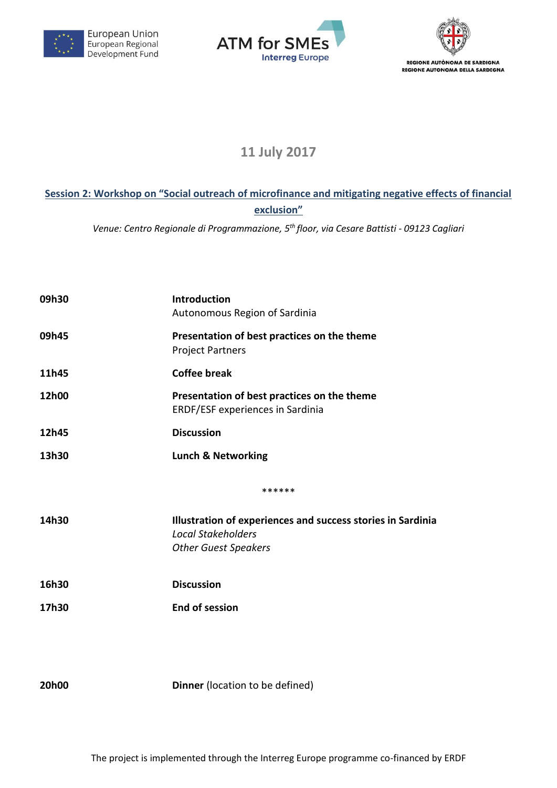





### **11 July 2017**

#### **Session 2: Workshop on "Social outreach of microfinance and mitigating negative effects of financial exclusion"**

*Venue: Centro Regionale di Programmazione, 5 th floor, via Cesare Battisti - 09123 Cagliari*

| 09h30 | Introduction<br>Autonomous Region of Sardinia                                            |
|-------|------------------------------------------------------------------------------------------|
| 09h45 | Presentation of best practices on the theme<br><b>Project Partners</b>                   |
| 11h45 | <b>Coffee break</b>                                                                      |
| 12h00 | Presentation of best practices on the theme<br>ERDF/ESF experiences in Sardinia          |
| 12h45 | <b>Discussion</b>                                                                        |
| 13h30 | <b>Lunch &amp; Networking</b>                                                            |
|       | ******                                                                                   |
| 14h30 | Illustration of experiences and success stories in Sardinia<br><b>Local Stakeholders</b> |
|       | <b>Other Guest Speakers</b>                                                              |
| 16h30 | <b>Discussion</b>                                                                        |
| 17h30 | <b>End of session</b>                                                                    |
|       |                                                                                          |